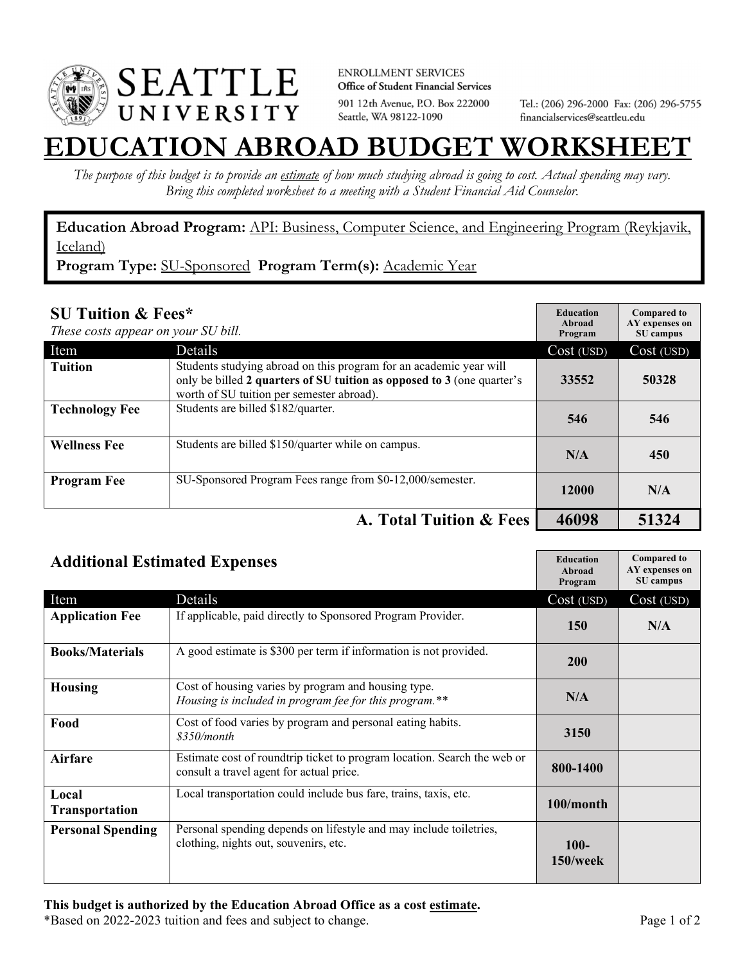

**ENROLLMENT SERVICES** Office of Student Financial Services 901 12th Avenue, P.O. Box 222000 Seattle, WA 98122-1090

Tel.: (206) 296-2000 Fax: (206) 296-5755 financialservices@seattleu.edu

## **EATION ABROAD BUDGET WORKSHEI**

*The purpose of this budget is to provide an estimate of how much studying abroad is going to cost. Actual spending may vary. Bring this completed worksheet to a meeting with a Student Financial Aid Counselor.* 

## **Education Abroad Program:** API: Business, Computer Science, and Engineering Program (Reykjavik, Iceland)

**Program Type:** SU-Sponsored **Program Term(s):** Academic Year

| <b>SU Tuition &amp; Fees*</b><br>These costs appear on your SU bill. |                                                                                                                                                                                           | <b>Education</b><br>Abroad<br>Program | <b>Compared to</b><br>AY expenses on<br>SU campus |
|----------------------------------------------------------------------|-------------------------------------------------------------------------------------------------------------------------------------------------------------------------------------------|---------------------------------------|---------------------------------------------------|
| Item                                                                 | Details                                                                                                                                                                                   | Cost (USD)                            | Cost (USD)                                        |
| <b>Tuition</b>                                                       | Students studying abroad on this program for an academic year will<br>only be billed 2 quarters of SU tuition as opposed to 3 (one quarter's<br>worth of SU tuition per semester abroad). | 33552                                 | 50328                                             |
| <b>Technology Fee</b>                                                | Students are billed \$182/quarter.                                                                                                                                                        | 546                                   | 546                                               |
| <b>Wellness Fee</b>                                                  | Students are billed \$150/quarter while on campus.                                                                                                                                        | N/A                                   | 450                                               |
| <b>Program Fee</b>                                                   | SU-Sponsored Program Fees range from \$0-12,000/semester.                                                                                                                                 | 12000                                 | N/A                                               |
|                                                                      | A. Total Tuition & Fees                                                                                                                                                                   | 46098                                 | 51324                                             |

| <b>Additional Estimated Expenses</b> |                                                                                                                      | <b>Education</b><br>Abroad<br>Program | <b>Compared to</b><br>AY expenses on<br>SU campus |
|--------------------------------------|----------------------------------------------------------------------------------------------------------------------|---------------------------------------|---------------------------------------------------|
| Item                                 | Details                                                                                                              | Cost (USD)                            | Cost (USD)                                        |
| <b>Application Fee</b>               | If applicable, paid directly to Sponsored Program Provider.                                                          | <b>150</b>                            | N/A                                               |
| <b>Books/Materials</b>               | A good estimate is \$300 per term if information is not provided.                                                    | 200                                   |                                                   |
| <b>Housing</b>                       | Cost of housing varies by program and housing type.<br>Housing is included in program fee for this program.**        | N/A                                   |                                                   |
| Food                                 | Cost of food varies by program and personal eating habits.<br>\$350/month                                            | 3150                                  |                                                   |
| <b>Airfare</b>                       | Estimate cost of roundtrip ticket to program location. Search the web or<br>consult a travel agent for actual price. | 800-1400                              |                                                   |
| Local<br><b>Transportation</b>       | Local transportation could include bus fare, trains, taxis, etc.                                                     | 100/month                             |                                                   |
| <b>Personal Spending</b>             | Personal spending depends on lifestyle and may include toiletries,<br>clothing, nights out, souvenirs, etc.          | $100 -$<br>150/week                   |                                                   |